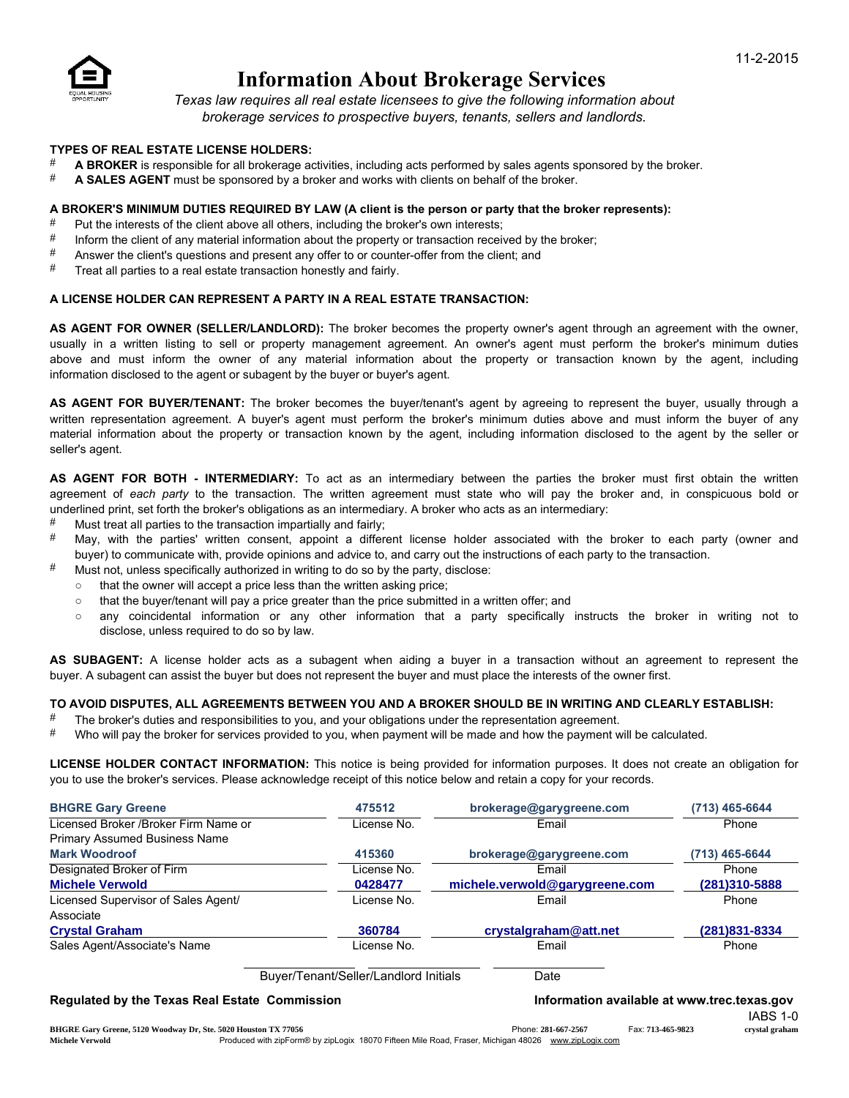

# Information About Brokerage Services

*Texas law requires all real estate licensees to give the following information about brokerage services to prospective buyers, tenants, sellers and landlords.*

### TYPES OF REAL ESTATE LICENSE HOLDERS:

- A BROKER is responsible for all brokerage activities, including acts performed by sales agents sponsored by the broker.
- **# A SALES AGENT** must be sponsored by a broker and works with clients on behalf of the broker.

### A BROKER'S MINIMUM DUTIES REQUIRED BY LAW (A client is the person or party that the broker represents):

- # Put the interests of the client above all others, including the broker's own interests;<br># latern the client of any material information about the preparty or transaction received
- $\#$  Inform the client of any material information about the property or transaction received by the broker;<br> $\#$  Answer the client's questions and present any offer to or counter offer from the client; and
- Answer the client's questions and present any offer to or counter-offer from the client; and
- $#$  Treat all parties to a real estate transaction honestly and fairly.

### A LICENSE HOLDER CAN REPRESENT A PARTY IN A REAL ESTATE TRANSACTION:

AS AGENT FOR OWNER (SELLER/LANDLORD): The broker becomes the property owner's agent through an agreement with the owner, usually in a written listing to sell or property management agreement. An owner's agent must perform the broker's minimum duties above and must inform the owner of any material information about the property or transaction known by the agent, including information disclosed to the agent or subagent by the buyer or buyer's agent.

AS AGENT FOR BUYER/TENANT: The broker becomes the buyer/tenant's agent by agreeing to represent the buyer, usually through a written representation agreement. A buyer's agent must perform the broker's minimum duties above and must inform the buyer of any material information about the property or transaction known by the agent, including information disclosed to the agent by the seller or seller's agent.

AS AGENT FOR BOTH - INTERMEDIARY: To act as an intermediary between the parties the broker must first obtain the written agreement of *each party* to the transaction. The written agreement must state who will pay the broker and, in conspicuous bold or underlined print, set forth the broker's obligations as an intermediary. A broker who acts as an intermediary:

- $\frac{4}{x}$  Must treat all parties to the transaction impartially and fairly;<br> $\frac{4}{x}$  May with the parties' written consent, appoint a differ
- May, with the parties' written consent, appoint a different license holder associated with the broker to each party (owner and buyer) to communicate with, provide opinions and advice to, and carry out the instructions of each party to the transaction.
- $#$  Must not, unless specifically authorized in writing to do so by the party, disclose:
	- that the owner will accept a price less than the written asking price;
	- that the buyer/tenant will pay a price greater than the price submitted in a written offer; and
	- any coincidental information or any other information that a party specifically instructs the broker in writing not to disclose, unless required to do so by law.

AS SUBAGENT: A license holder acts as a subagent when aiding a buyer in a transaction without an agreement to represent the buyer. A subagent can assist the buyer but does not represent the buyer and must place the interests of the owner first.

### TO AVOID DISPUTES, ALL AGREEMENTS BETWEEN YOU AND A BROKER SHOULD BE IN WRITING AND CLEARLY ESTABLISH:

- # The broker's duties and responsibilities to you, and your obligations under the representation agreement.<br># Who will now the broker for convices provided to you, when poyment will be made and how the poyment w
- Who will pay the broker for services provided to you, when payment will be made and how the payment will be calculated.

LICENSE HOLDER CONTACT INFORMATION: This notice is being provided for information purposes. It does not create an obligation for you to use the broker's services. Please acknowledge receipt of this notice below and retain a copy for your records.

| <b>BHGRE Gary Greene</b>                             | 475512                                | brokerage@garygreene.com                    | (713) 465-6644 |
|------------------------------------------------------|---------------------------------------|---------------------------------------------|----------------|
| Licensed Broker / Broker Firm Name or                | License No.                           | Email                                       | Phone          |
| Primary Assumed Business Name                        |                                       |                                             |                |
| <b>Mark Woodroof</b>                                 | 415360                                | brokerage@garygreene.com                    | (713) 465-6644 |
| Designated Broker of Firm                            | License No.                           | Email                                       | Phone          |
| <b>Michele Verwold</b>                               | 0428477                               | michele.verwold@garygreene.com              | (281)310-5888  |
| Licensed Supervisor of Sales Agent/                  | License No.                           | Email                                       | Phone          |
| Associate                                            |                                       |                                             |                |
| <b>Crystal Graham</b>                                | 360784                                | crystalgraham@att.net                       | (281)831-8334  |
| Sales Agent/Associate's Name                         | License No.                           | Email                                       | Phone          |
|                                                      | Buyer/Tenant/Seller/Landlord Initials | Date                                        |                |
| <b>Regulated by the Texas Real Estate Commission</b> |                                       | Information available at www.trec.texas.gov |                |